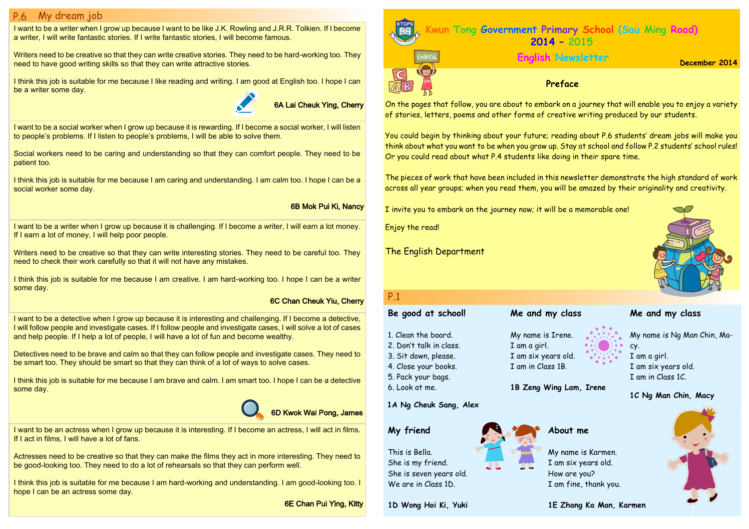I want to be a social worker when I grow up because it is rewarding. If I become a social worker, I will listen to people's problems. If I listen to people's problems, I will be able to solve them.

Social workers need to be caring and understanding so that they can comfort people. They need to be patient too.

I think this job is suitable for me because I am caring and understanding. I am calm too. I hope I can be a social worker some day.

I want to be a detective when I grow up because it is interesting and challenging. If I become a detective, I will follow people and investigate cases. If I follow people and investigate cases, I will solve a lot of cases and help people. If I help a lot of people, I will have a lot of fun and become wealthy.

Writers need to be creative so that they can write interesting stories. They need to be careful too. They need to check their work carefully so that it will not have any mistakes.

I think this job is suitable for me because I am creative. I am hard-working too. I hope I can be a writer some day.

Detectives need to be brave and calm so that they can follow people and investigate cases. They need to be smart too. They should be smart so that they can think of a lot of ways to solve cases.

Writers need to be creative so that they can write creative stories. They need to be hard-working too. They need to have good writing skills so that they can write attractive stories.

I think this job is suitable for me because I am brave and calm. I am smart too. I hope I can be a detective some day.

I want to be a writer when I grow up because it is challenging. If I become a writer, I will earn a lot money. If I earn a lot of money, I will help poor people.

# P.6 My dream job

I want to be a writer when I grow up because I want to be like J.K. Rowling and J.R.R. Tolkien. If I become a writer, I will write fantastic stories. If I write fantastic stories, I will become famous.

I think this job is suitable for me because I like reading and writing. I am good at English too. I hope I can be a writer some day.

### 6B Mok Pui Ki, Nancy

## 6C Chan Cheuk Yiu, Cherry





I want to be an actress when I grow up because it is interesting. If I become an actress, I will act in films. If I act in films, I will have a lot of fans.

Actresses need to be creative so that they can make the films they act in more interesting. They need to be good-looking too. They need to do a lot of rehearsals so that they can perform well.

I think this job is suitable for me because I am hard-working and understanding. I am good-looking too. I hope I can be an actress some day.

6E Chan Pui Ying, Kitty



On the pages that follow, you are about to embark on a journey that will enable you to enjoy a variety of stories, letters, poems and other forms of creative writing produced by our students.

You could begin by thinking about your future; reading about P.6 students' dream jobs will make you think about what you want to be when you grow up. Stay at school and follow P.2 students' school rules! Or you could read about what P.4 students like doing in their spare time.

The pieces of work that have been included in this newsletter demonstrate the high standard of work across all year groups; when you read them, you will be amazed by their originality and creativity.

I invite you to embark on the journey now; it will be a memorable one!

Enjoy the read!

The English Department

# **Me and my class**

My name is Ng Man Chin, Macy. I am a girl. I am six years old. I am in Class 1C.

| P.1                     |                     |
|-------------------------|---------------------|
| Be good at school!      | Me and my class     |
| 1. Clean the board.     | My name is Irene.   |
| 2. Don't talk in class. | I am a girl.        |
| 3. Sit down, please.    | I am six years old. |
| 4. Close your books.    | I am in Class 1B.   |
| 5. Pack your bags.      |                     |
| 6. Look at me.          | 1B Zeng Wing Lam,   |
| 1A Ng Cheuk Sang, Alex  |                     |
| About<br>My friend      |                     |

### **Im, Irene**

This is Bella. She is my friend. She is seven years old. We are in Class 1D.

**1D Wong Hoi Ki, Yuki**

My name is Karmen. I am six years old. How are you? I am fine, thank you.



# **December 2014 English Newsletter**





# **1C Ng Man Chin, Macy**

# me